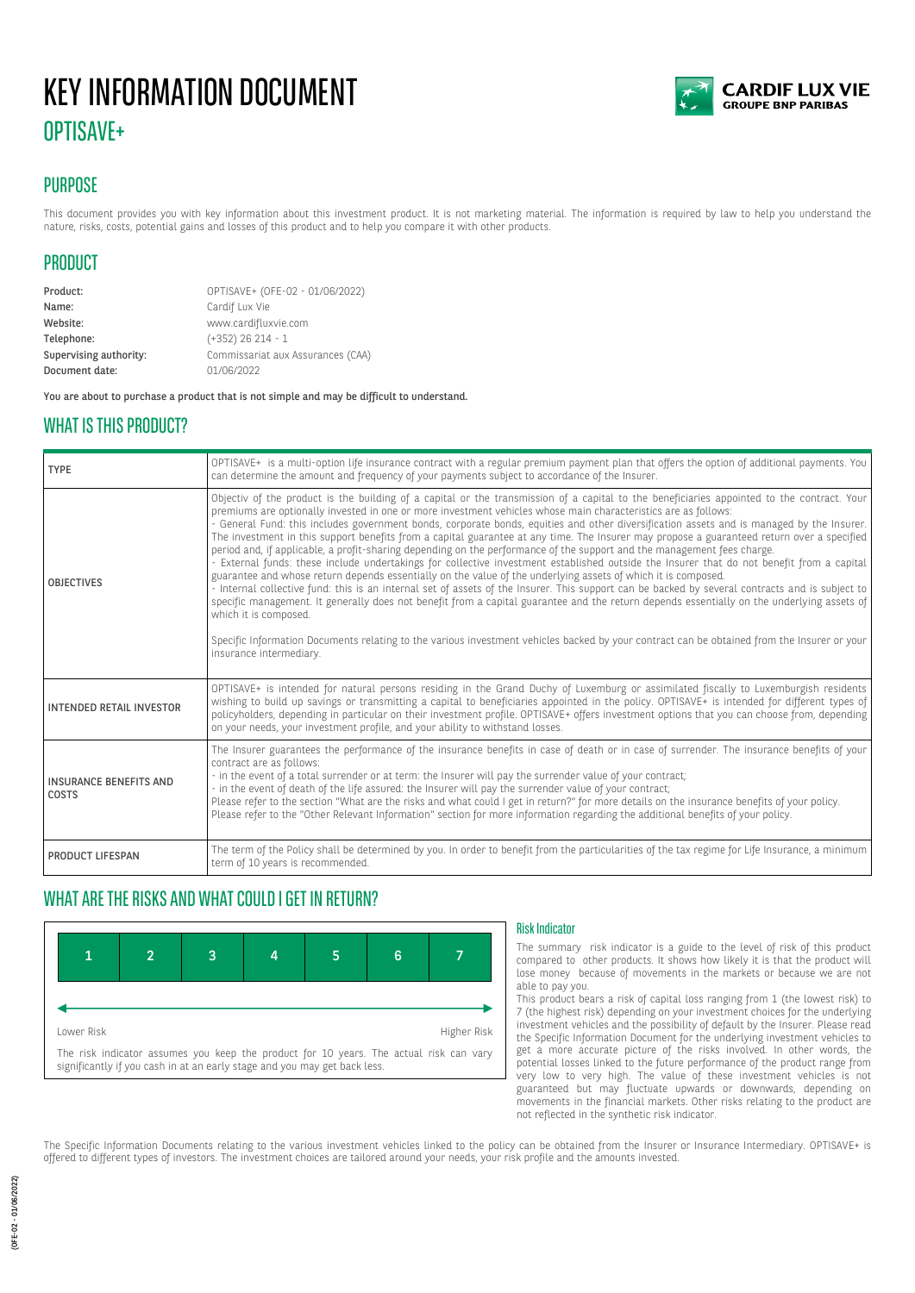# KEY INFORMATION DOCUMENT OPTISAVE+



# **PURPOSE**

This document provides you with key information about this investment product. It is not marketing material. The information is required by law to help you understand the nature, risks, costs, potential gains and losses of this product and to help you compare it with other products.

# PRODUCT

Product: OPTISAVE+ (OFE-02 - 01/06/2022) Name: Cardif Lux Vie Website: www.cardifluxvie.com Telephone: (+352) 26 214 - 1 Supervising authority: Commissariat aux Assurances (CAA) Document date: 01/06/2022

You are about to purchase a product that is not simple and may be difficult to understand.

### WHAT IS THIS PRODUCT?

| <b>TYPE</b>                            | OPTISAVE+ is a multi-option life insurance contract with a regular premium payment plan that offers the option of additional payments. You<br>can determine the amount and frequency of your payments subject to accordance of the Insurer.                                                                                                                                                                                                                                                                                                                                                                                                                                                                                                                                                                                                                                                                                                                                                                                                                                                                                                                                                                                                                                                                                                                                                                                                          |  |
|----------------------------------------|------------------------------------------------------------------------------------------------------------------------------------------------------------------------------------------------------------------------------------------------------------------------------------------------------------------------------------------------------------------------------------------------------------------------------------------------------------------------------------------------------------------------------------------------------------------------------------------------------------------------------------------------------------------------------------------------------------------------------------------------------------------------------------------------------------------------------------------------------------------------------------------------------------------------------------------------------------------------------------------------------------------------------------------------------------------------------------------------------------------------------------------------------------------------------------------------------------------------------------------------------------------------------------------------------------------------------------------------------------------------------------------------------------------------------------------------------|--|
| <b>OBJECTIVES</b>                      | Objectiv of the product is the building of a capital or the transmission of a capital to the beneficiaries appointed to the contract. Your<br>premiums are optionally invested in one or more investment vehicles whose main characteristics are as follows:<br>- General Fund: this includes government bonds, corporate bonds, equities and other diversification assets and is managed by the Insurer.<br>The investment in this support benefits from a capital guarantee at any time. The Insurer may propose a guaranteed return over a specified<br>period and, if applicable, a profit-sharing depending on the performance of the support and the management fees charge.<br>- External funds: these include undertakings for collective investment established outside the Insurer that do not benefit from a capital<br>guarantee and whose return depends essentially on the value of the underlying assets of which it is composed.<br>- Internal collective fund: this is an internal set of assets of the Insurer. This support can be backed by several contracts and is subject to<br>specific management. It generally does not benefit from a capital guarantee and the return depends essentially on the underlying assets of<br>which it is composed.<br>Specific Information Documents relating to the various investment vehicles backed by your contract can be obtained from the Insurer or your<br>insurance intermediary. |  |
| <b>INTENDED RETAIL INVESTOR</b>        | OPTISAVE+ is intended for natural persons residing in the Grand Duchy of Luxemburg or assimilated fiscally to Luxemburgish residents<br>wishing to build up savings or transmitting a capital to beneficiaries appointed in the policy. OPTISAVE+ is intended for different types of<br>policyholders, depending in particular on their investment profile. OPTISAVE+ offers investment options that you can choose from, depending<br>on your needs, your investment profile, and your ability to withstand losses.                                                                                                                                                                                                                                                                                                                                                                                                                                                                                                                                                                                                                                                                                                                                                                                                                                                                                                                                 |  |
| <b>INSURANCE BENEFITS AND</b><br>COSTS | The Insurer guarantees the performance of the insurance benefits in case of death or in case of surrender. The insurance benefits of your<br>contract are as follows:<br>- in the event of a total surrender or at term: the Insurer will pay the surrender value of your contract;<br>- in the event of death of the life assured: the Insurer will pay the surrender value of your contract;<br>Please refer to the section "What are the risks and what could I get in return?" for more details on the insurance benefits of your policy.<br>Please refer to the "Other Relevant Information" section for more information regarding the additional benefits of your policy.                                                                                                                                                                                                                                                                                                                                                                                                                                                                                                                                                                                                                                                                                                                                                                     |  |
| PRODUCT LIFESPAN                       | The term of the Policy shall be determined by you. In order to benefit from the particularities of the tax regime for Life Insurance, a minimum<br>term of 10 years is recommended.                                                                                                                                                                                                                                                                                                                                                                                                                                                                                                                                                                                                                                                                                                                                                                                                                                                                                                                                                                                                                                                                                                                                                                                                                                                                  |  |

# WHAT ARE THE RISKS AND WHAT COULD I GET IN RETURN?



#### Risk Indicator

The summary risk indicator is a guide to the level of risk of this product compared to other products. It shows how likely it is that the product will lose money because of movements in the markets or because we are not able to pay you.

This product bears a risk of capital loss ranging from 1 (the lowest risk) to 7 (the highest risk) depending on your investment choices for the underlying investment vehicles and the possibility of default by the Insurer. Please read the Specific Information Document for the underlying investment vehicles to get a more accurate picture of the risks involved. In other words, the potential losses linked to the future performance of the product range from very low to very high. The value of these investment vehicles is not guaranteed but may fluctuate upwards or downwards, depending on movements in the financial markets. Other risks relating to the product are not reflected in the synthetic risk indicator.

The Specific Information Documents relating to the various investment vehicles linked to the policy can be obtained from the Insurer or Insurance Intermediary. OPTISAVE+ is offered to different types of investors. The investment choices are tailored around your needs, your risk profile and the amounts invested.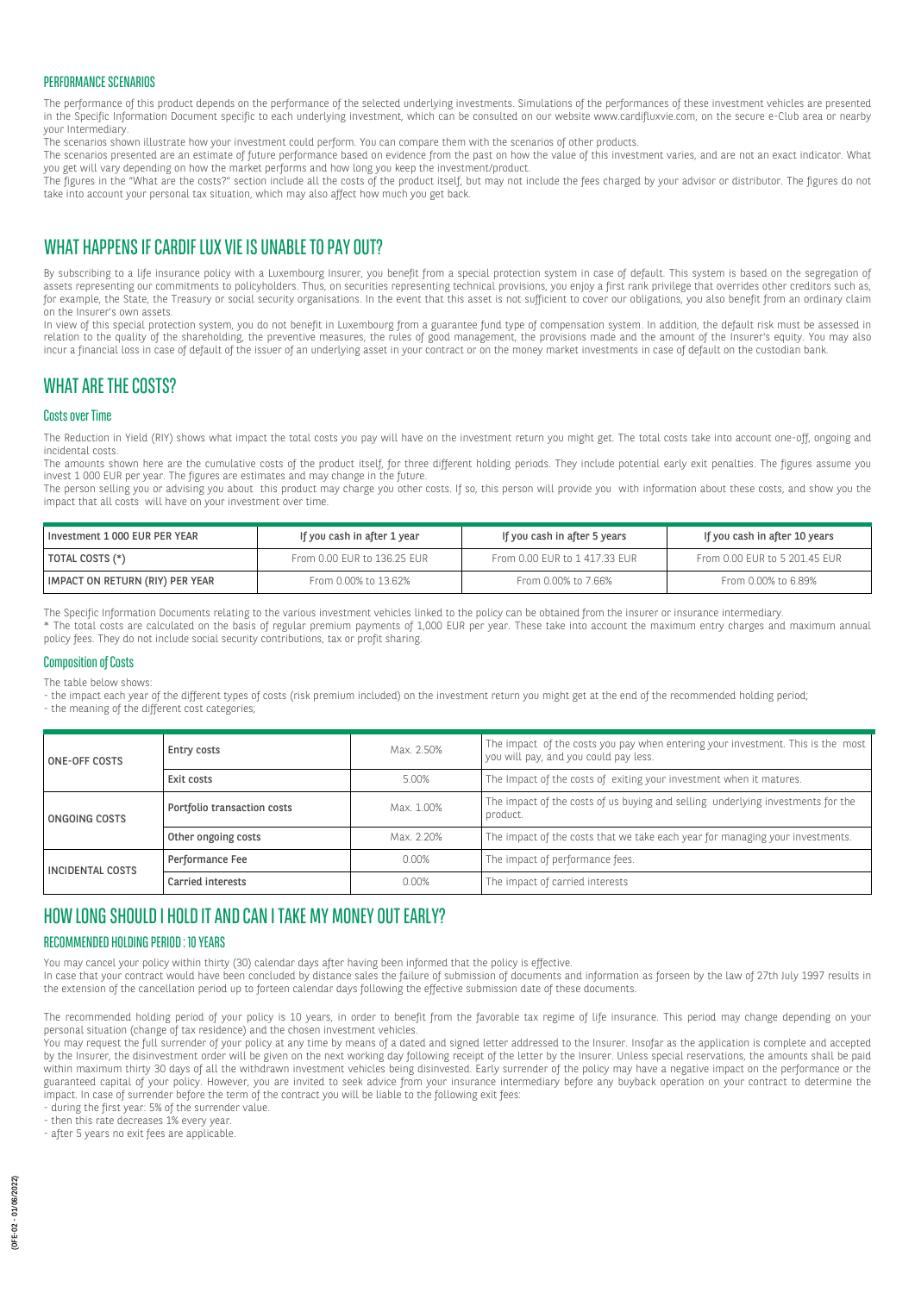#### PERFORMANCE SCENARIOS

The performance of this product depends on the performance of the selected underlying investments. Simulations of the performances of these investment vehicles are presented in the Specific Information Document specific to each underlying investment, which can be consulted on our website www.cardifluxvie.com, on the secure e-Club area or nearby your Intermediary.

The scenarios shown illustrate how your investment could perform. You can compare them with the scenarios of other products.

The scenarios presented are an estimate of future performance based on evidence from the past on how the value of this investment varies, and are not an exact indicator. What you get will vary depending on how the market performs and how long you keep the investment/product.

The figures in the "What are the costs?" section include all the costs of the product itself, but may not include the fees charged by your advisor or distributor. The figures do not take into account your personal tax situation, which may also affect how much you get back.

# WHAT HAPPENS IF CARDIF LUX VIF IS UNABLE TO PAY OUT?

By subscribing to a life insurance policy with a Luxembourg Insurer, you benefit from a special protection system in case of default. This system is based on the segregation of assets representing our commitments to policyholders. Thus, on securities representing technical provisions, you enjoy a first rank privilege that overrides other creditors such as, for example, the State, the Treasury or social security organisations. In the event that this asset is not sufficient to cover our obligations, you also benefit from an ordinary claim on the Insurer's own assets.

In view of this special protection system, you do not benefit in Luxembourg from a guarantee fund type of compensation system. In addition, the default risk must be assessed in relation to the quality of the shareholding, the preventive measures, the rules of good management, the provisions made and the amount of the Insurer's equity. You may also incur a financial loss in case of default of the issuer of an underlying asset in your contract or on the money market investments in case of default on the custodian bank.

### WHAT ARF THE COSTS?

#### Costs over Time

The Reduction in Yield (RIY) shows what impact the total costs you pay will have on the investment return you might get. The total costs take into account one-off, ongoing and incidental costs.

The amounts shown here are the cumulative costs of the product itself, for three different holding periods. They include potential early exit penalties. The figures assume you invest 1 000 EUR per year. The figures are estimates and may change in the future.

The person selling you or advising you about this product may charge you other costs. If so, this person will provide you with information about these costs, and show you the impact that all costs will have on your investment over time.

| I Investment 1 000 EUR PER YEAR | If you cash in after 1 year | If you cash in after 5 years  | If you cash in after 10 years |
|---------------------------------|-----------------------------|-------------------------------|-------------------------------|
| TOTAL COSTS (*)                 | From 0.00 EUR to 136.25 EUR | From 0.00 EUR to 1 417.33 EUR | From 0.00 EUR to 5 201.45 EUR |
| IMPACT ON RETURN (RIY) PER YEAR | From 0.00% to 13.62%        | From 0.00% to 7.66%           | From 0.00% to 6.89%           |

The Specific Information Documents relating to the various investment vehicles linked to the policy can be obtained from the insurer or insurance intermediary.

\* The total costs are calculated on the basis of regular premium payments of 1,000 EUR per year. These take into account the maximum entry charges and maximum annual policy fees. They do not include social security contributions, tax or profit sharing.

### Composition of Costs

The table below shows:

- the impact each year of the different types of costs (risk premium included) on the investment return you might get at the end of the recommended holding period;

- the meaning of the different cost categories;

| <b>ONE-OFF COSTS</b>    | Entry costs                 | Max. 2.50% | The impact of the costs you pay when entering your investment. This is the most<br>you will pay, and you could pay less. |
|-------------------------|-----------------------------|------------|--------------------------------------------------------------------------------------------------------------------------|
|                         | Exit costs                  | 5.00%      | The Impact of the costs of exiting your investment when it matures.                                                      |
| ONGOING COSTS           | Portfolio transaction costs | Max. 1.00% | The impact of the costs of us buying and selling underlying investments for the<br>product.                              |
|                         | Other ongoing costs         | Max. 2.20% | The impact of the costs that we take each year for managing your investments.                                            |
| <b>INCIDENTAL COSTS</b> | Performance Fee             | 0.00%      | The impact of performance fees.                                                                                          |
|                         | Carried interests           | 0.00%      | The impact of carried interests                                                                                          |

# HOW LONG SHOULD I HOLD IT AND CAN I TAKE MY MONEY OUT EARLY?

### RECOMMENDED HOLDING PERIOD : 10 YEARS

You may cancel your policy within thirty (30) calendar days after having been informed that the policy is effective.

In case that your contract would have been concluded by distance sales the failure of submission of documents and information as forseen by the law of 27th July 1997 results in the extension of the cancellation period up to forteen calendar days following the effective submission date of these documents.

The recommended holding period of your policy is 10 years, in order to benefit from the favorable tax regime of life insurance. This period may change depending on your personal situation (change of tax residence) and the chosen investment vehicles.

.<br>You may request the full surrender of your policy at any time by means of a dated and signed letter addressed to the Insurer. Insofar as the application is complete and accepted by the Insurer, the disinvestment order will be given on the next working day following receipt of the letter by the Insurer. Unless special reservations, the amounts shall be paid within maximum thirty 30 days of all the withdrawn investment vehicles being disinvested. Early surrender of the policy may have a negative impact on the performance or the guaranteed capital of your policy. However, you are invited to seek advice from your insurance intermediary before any buyback operation on your contract to determine the impact. In case of surrender before the term of the contract you will be liable to the following exit fees:

- during the first year: 5% of the surrender value.

- then this rate decreases 1% every year.

- after 5 years no exit fees are applicable.